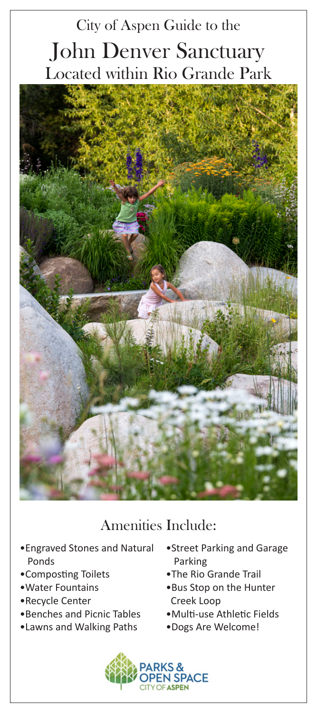## City of Aspen Guide to the John Denver Sanctuary Located within Rio Grande Park



## Amenities Include:

- •Engraved Stones and Natural Ponds
- •Composting Toilets
- •Water Fountains
- •Recycle Center
- •Benches and Picnic Tables
- •Lawns and Walking Paths
- •Street Parking and Garage Parking
- •The Rio Grande Trail
- •Bus Stop on the Hunter Creek Loop
- •Multi-use Athletic Fields
- •Dogs Are Welcome!